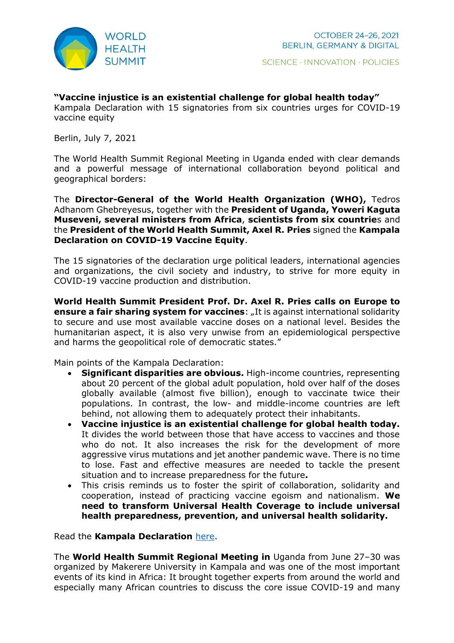

## **"Vaccine injustice is an existential challenge for global health today"**

Kampala Declaration with 15 signatories from six countries urges for COVID-19 vaccine equity

Berlin, July 7, 2021

The World Health Summit Regional Meeting in Uganda ended with clear demands and a powerful message of international collaboration beyond political and geographical borders:

The **Director-General of the World Health Organization (WHO),** Tedros Adhanom Ghebreyesus, together with the **President of Uganda, Yoweri Kaguta Museveni, several ministers from Africa**, **scientists from six countrie**s and the **President of the World Health Summit, Axel R. Pries** signed the **Kampala Declaration on COVID-19 Vaccine Equity**.

The 15 signatories of the declaration urge political leaders, international agencies and organizations, the civil society and industry, to strive for more equity in COVID-19 vaccine production and distribution.

**World Health Summit President Prof. Dr. Axel R. Pries calls on Europe to ensure a fair sharing system for vaccines:** "It is against international solidarity to secure and use most available vaccine doses on a national level. Besides the humanitarian aspect, it is also very unwise from an epidemiological perspective and harms the geopolitical role of democratic states."

Main points of the Kampala Declaration:

- **Significant disparities are obvious.** High-income countries, representing about 20 percent of the global adult population, hold over half of the doses globally available (almost five billion), enough to vaccinate twice their populations. In contrast, the low- and middle-income countries are left behind, not allowing them to adequately protect their inhabitants.
- **Vaccine injustice is an existential challenge for global health today.** It divides the world between those that have access to vaccines and those who do not. It also increases the risk for the development of more aggressive virus mutations and jet another pandemic wave. There is no time to lose. Fast and effective measures are needed to tackle the present situation and to increase preparedness for the future**.**
- This crisis reminds us to foster the spirit of collaboration, solidarity and cooperation, instead of practicing vaccine egoism and nationalism. **We need to transform Universal Health Coverage to include universal health preparedness, prevention, and universal health solidarity.**

Read the **Kampala Declaration** [here.](https://www.worldhealthsummit.org/media/publications.html#c112249)

The **World Health Summit Regional Meeting in** Uganda from June 27–30 was organized by Makerere University in Kampala and was one of the most important events of its kind in Africa: It brought together experts from around the world and especially many African countries to discuss the core issue COVID-19 and many